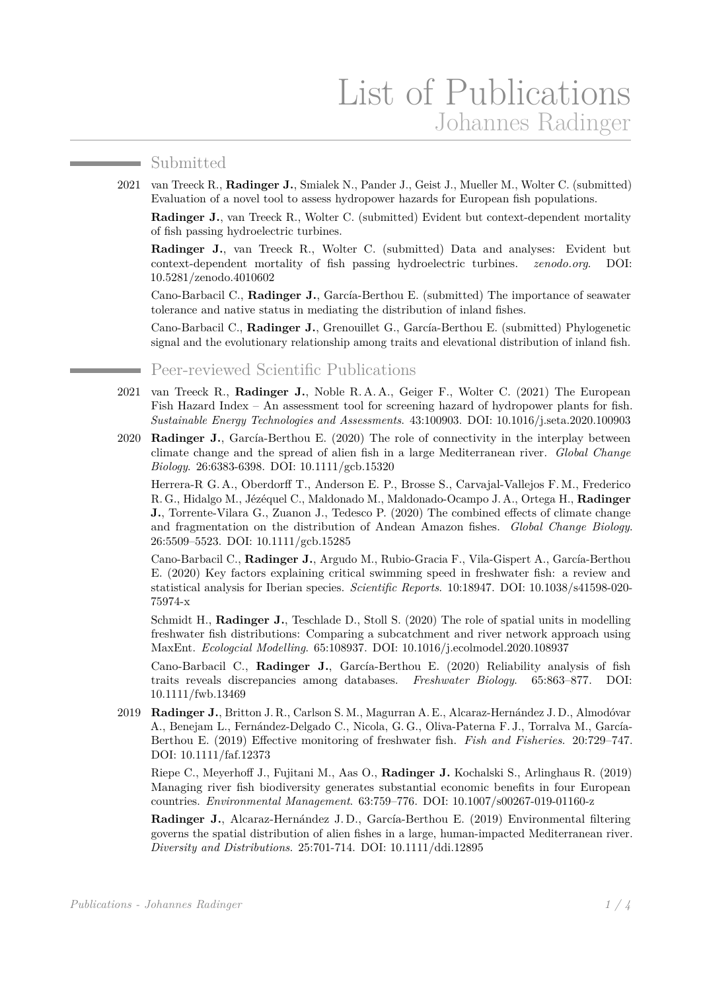## Submitted

and the company of the company

2021 van Treeck R., **Radinger J.**, Smialek N., Pander J., Geist J., Mueller M., Wolter C. (submitted) Evaluation of a novel tool to assess hydropower hazards for European fish populations.

**Radinger J.**, van Treeck R., Wolter C. (submitted) Evident but context-dependent mortality of fish passing hydroelectric turbines.

**Radinger J.**, van Treeck R., Wolter C. (submitted) Data and analyses: Evident but context-dependent mortality of fish passing hydroelectric turbines. *zenodo.org*. DOI: [10.5281/zenodo.4010602](http://dx.doi.org/10.5281/zenodo.4010602)

Cano-Barbacil C., **Radinger J.**, García-Berthou E. (submitted) The importance of seawater tolerance and native status in mediating the distribution of inland fishes.

Cano-Barbacil C., **Radinger J.**, Grenouillet G., García-Berthou E. (submitted) Phylogenetic signal and the evolutionary relationship among traits and elevational distribution of inland fish.

Peer-reviewed Scientific Publications

- 2021 van Treeck R., **Radinger J.**, Noble R. A. A., Geiger F., Wolter C. (2021) The European Fish Hazard Index – An assessment tool for screening hazard of hydropower plants for fish. *Sustainable Energy Technologies and Assessments*. 43:100903. DOI: [10.1016/j.seta.2020.100903](http://dx.doi.org/10.1016/j.seta.2020.100903)
- 2020 **Radinger J.**, García-Berthou E. (2020) The role of connectivity in the interplay between climate change and the spread of alien fish in a large Mediterranean river. *Global Change Biology*. 26:6383-6398. DOI: [10.1111/gcb.15320](http://dx.doi.org/10.1111/gcb.15320)

Herrera-R G. A., Oberdorff T., Anderson E. P., Brosse S., Carvajal-Vallejos F. M., Frederico R. G., Hidalgo M., Jézéquel C., Maldonado M., Maldonado-Ocampo J. A., Ortega H., **Radinger J.**, Torrente-Vilara G., Zuanon J., Tedesco P. (2020) The combined effects of climate change and fragmentation on the distribution of Andean Amazon fishes. *Global Change Biology*. 26:5509–5523. DOI: [10.1111/gcb.15285](http://dx.doi.org/10.1111/gcb.15285)

Cano-Barbacil C., **Radinger J.**, Argudo M., Rubio-Gracia F., Vila-Gispert A., García-Berthou E. (2020) Key factors explaining critical swimming speed in freshwater fish: a review and statistical analysis for Iberian species. *Scientific Reports*. 10:18947. DOI: [10.1038/s41598-020-](http://dx.doi.org/10.1038/s41598-020-75974-x) [75974-x](http://dx.doi.org/10.1038/s41598-020-75974-x)

Schmidt H., **Radinger J.**, Teschlade D., Stoll S. (2020) The role of spatial units in modelling freshwater fish distributions: Comparing a subcatchment and river network approach using MaxEnt. *Ecologcial Modelling*. 65:108937. DOI: [10.1016/j.ecolmodel.2020.108937](http://dx.doi.org/10.1016/j.ecolmodel.2020.108937)

Cano-Barbacil C., **Radinger J.**, García-Berthou E. (2020) Reliability analysis of fish traits reveals discrepancies among databases. *Freshwater Biology*. 65:863–877. DOI: [10.1111/fwb.13469](http://dx.doi.org/10.1111/fwb.13469)

2019 **Radinger J.**, Britton J. R., Carlson S. M., Magurran A. E., Alcaraz-Hernández J. D., Almodóvar A., Benejam L., Fernández-Delgado C., Nicola, G. G., Oliva-Paterna F. J., Torralva M., García-Berthou E. (2019) Effective monitoring of freshwater fish. *Fish and Fisheries*. 20:729–747. DOI: [10.1111/faf.12373](http://dx.doi.org/10.1111/faf.12373)

Riepe C., Meyerhoff J., Fujitani M., Aas O., **Radinger J.** Kochalski S., Arlinghaus R. (2019) Managing river fish biodiversity generates substantial economic benefits in four European countries. *Environmental Management*. 63:759–776. DOI: [10.1007/s00267-019-01160-z](http://dx.doi.org/10.1007/s00267-019-01160-z)

**Radinger J.**, Alcaraz-Hernández J. D., García-Berthou E. (2019) Environmental filtering governs the spatial distribution of alien fishes in a large, human-impacted Mediterranean river. *Diversity and Distributions*. 25:701-714. DOI: [10.1111/ddi.12895](http://dx.doi.org/10.1111/ddi.12895)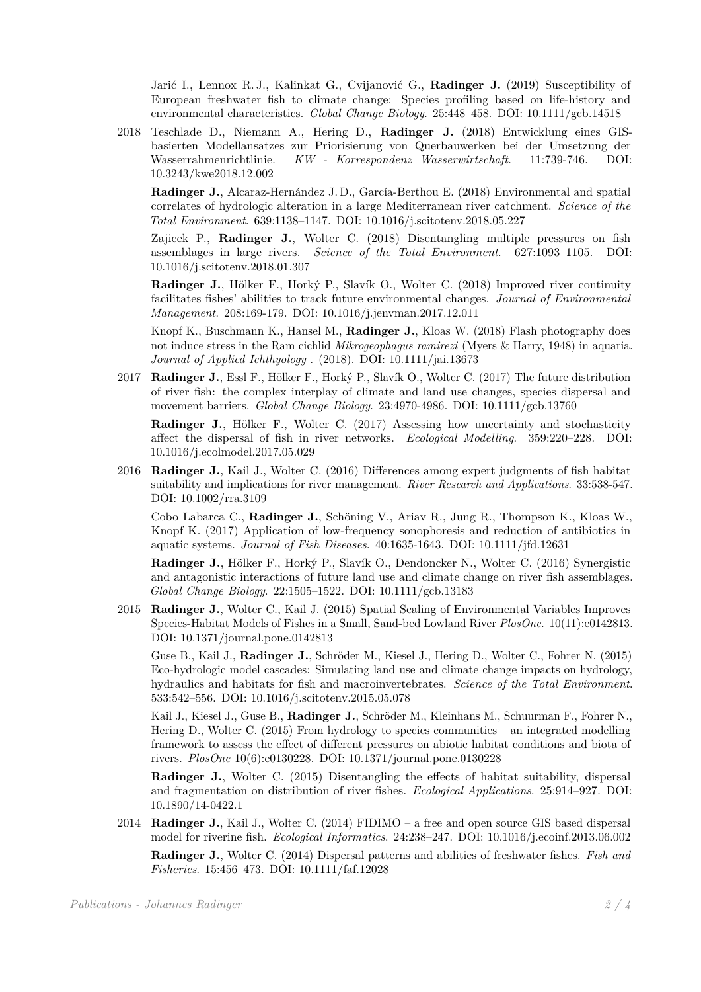Jarić I., Lennox R. J., Kalinkat G., Cvijanović G., **Radinger J.** (2019) Susceptibility of European freshwater fish to climate change: Species profiling based on life-history and environmental characteristics. *Global Change Biology*. 25:448–458. DOI: [10.1111/gcb.14518](http://dx.doi.org/10.1111/gcb.14518)

2018 Teschlade D., Niemann A., Hering D., **Radinger J.** (2018) Entwicklung eines GISbasierten Modellansatzes zur Priorisierung von Querbauwerken bei der Umsetzung der Wasserrahmenrichtlinie. *KW - Korrespondenz Wasserwirtschaft*. 11:739-746. DOI: [10.3243/kwe2018.12.002](http://dx.doi.org/10.3243/kwe2018.12.002)

**Radinger J.**, Alcaraz-Hernández J. D., García-Berthou E. (2018) Environmental and spatial correlates of hydrologic alteration in a large Mediterranean river catchment. *Science of the Total Environment*. 639:1138–1147. DOI: [10.1016/j.scitotenv.2018.05.227](http://dx.doi.org/10.1016/j.scitotenv.2018.05.227)

Zajicek P., **Radinger J.**, Wolter C. (2018) Disentangling multiple pressures on fish assemblages in large rivers. *Science of the Total Environment*. 627:1093–1105. DOI: [10.1016/j.scitotenv.2018.01.307](http://dx.doi.org/10.1016/j.scitotenv.2018.01.307)

**Radinger J.**, Hölker F., Horký P., Slavík O., Wolter C. (2018) Improved river continuity facilitates fishes' abilities to track future environmental changes. *Journal of Environmental Management*. 208:169-179. DOI: [10.1016/j.jenvman.2017.12.011](http://dx.doi.org/10.1016/j.jenvman.2017.12.011)

Knopf K., Buschmann K., Hansel M., **Radinger J.**, Kloas W. (2018) Flash photography does not induce stress in the Ram cichlid *Mikrogeophagus ramirezi* (Myers & Harry, 1948) in aquaria. *Journal of Applied Ichthyology* . (2018). DOI: [10.1111/jai.13673](http://dx.doi.org/10.1111/jai.13673)

2017 **Radinger J.**, Essl F., Hölker F., Horký P., Slavík O., Wolter C. (2017) The future distribution of river fish: the complex interplay of climate and land use changes, species dispersal and movement barriers. *Global Change Biology*. 23:4970-4986. DOI: [10.1111/gcb.13760](http://dx.doi.org/10.1111/gcb.13760)

**Radinger J.**, Hölker F., Wolter C. (2017) Assessing how uncertainty and stochasticity affect the dispersal of fish in river networks. *Ecological Modelling*. 359:220–228. DOI: [10.1016/j.ecolmodel.2017.05.029](http://dx.doi.org/10.1016/j.ecolmodel.2017.05.029)

2016 **Radinger J.**, Kail J., Wolter C. (2016) Differences among expert judgments of fish habitat suitability and implications for river management. *River Research and Applications*. 33:538-547. DOI: [10.1002/rra.3109](http://dx.doi.org/10.1002/rra.3109)

Cobo Labarca C., **Radinger J.**, Schöning V., Ariav R., Jung R., Thompson K., Kloas W., Knopf K. (2017) Application of low-frequency sonophoresis and reduction of antibiotics in aquatic systems. *Journal of Fish Diseases*. 40:1635-1643. DOI: [10.1111/jfd.12631](http://dx.doi.org/10.1111/jfd.12631)

**Radinger J.**, Hölker F., Horký P., Slavík O., Dendoncker N., Wolter C. (2016) Synergistic and antagonistic interactions of future land use and climate change on river fish assemblages. *Global Change Biology*. 22:1505–1522. DOI: [10.1111/gcb.13183](http://dx.doi.org/10.1111/gcb.13183)

2015 **Radinger J.**, Wolter C., Kail J. (2015) Spatial Scaling of Environmental Variables Improves Species-Habitat Models of Fishes in a Small, Sand-bed Lowland River *PlosOne*. 10(11):e0142813. DOI: [10.1371/journal.pone.0142813](http://dx.doi.org/10.1371/journal.pone.0142813)

Guse B., Kail J., **Radinger J.**, Schröder M., Kiesel J., Hering D., Wolter C., Fohrer N. (2015) Eco-hydrologic model cascades: Simulating land use and climate change impacts on hydrology, hydraulics and habitats for fish and macroinvertebrates. *Science of the Total Environment*. 533:542–556. DOI: [10.1016/j.scitotenv.2015.05.078](http://dx.doi.org/10.1016/j.scitotenv.2015.05.078)

Kail J., Kiesel J., Guse B., **Radinger J.**, Schröder M., Kleinhans M., Schuurman F., Fohrer N., Hering D., Wolter C. (2015) From hydrology to species communities – an integrated modelling framework to assess the effect of different pressures on abiotic habitat conditions and biota of rivers. *PlosOne* 10(6):e0130228. DOI: [10.1371/journal.pone.0130228](http://dx.doi.org/10.1371/journal.pone.0130228)

**Radinger J.**, Wolter C. (2015) Disentangling the effects of habitat suitability, dispersal and fragmentation on distribution of river fishes. *Ecological Applications*. 25:914–927. DOI: [10.1890/14-0422.1](http://dx.doi.org/10.1890/14-0422.1)

2014 **Radinger J.**, Kail J., Wolter C. (2014) FIDIMO – a free and open source GIS based dispersal model for riverine fish. *Ecological Informatics*. 24:238–247. DOI: [10.1016/j.ecoinf.2013.06.002](http://dx.doi.org/10.1016/j.ecoinf.2013.06.002)

**Radinger J.**, Wolter C. (2014) Dispersal patterns and abilities of freshwater fishes. *Fish and Fisheries*. 15:456–473. DOI: [10.1111/faf.12028](http://dx.doi.org/10.1111/faf.12028)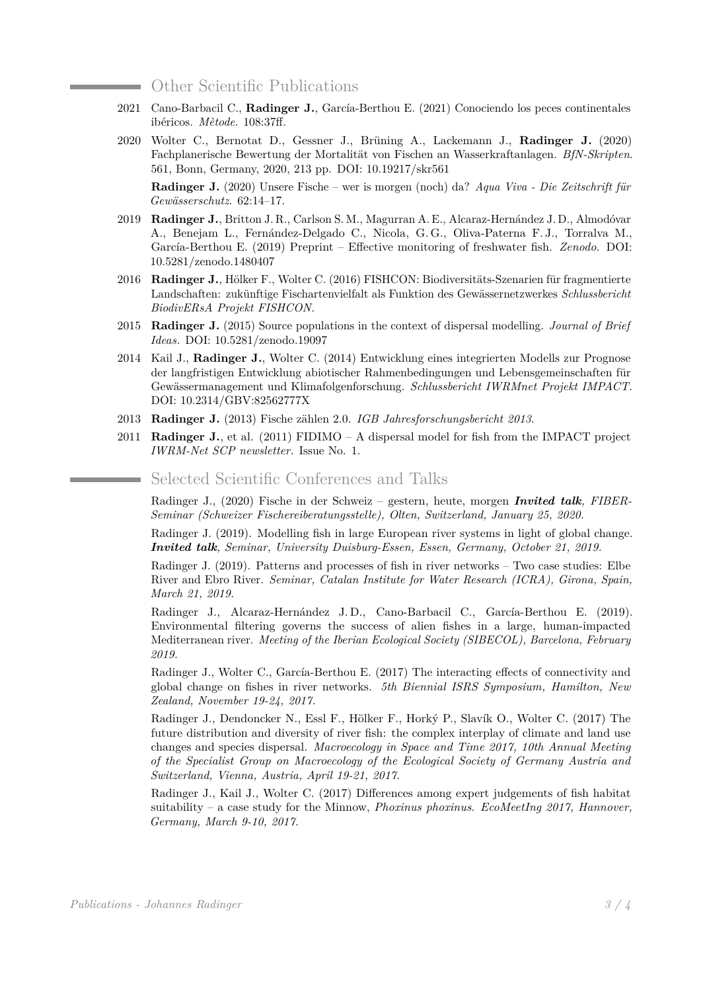## Other Scientific Publications

- 2021 Cano-Barbacil C., **Radinger J.**, García-Berthou E. (2021) Conociendo los peces continentales ibéricos. *Mètode*. 108:37ff.
- 2020 Wolter C., Bernotat D., Gessner J., Brüning A., Lackemann J., **Radinger J.** (2020) Fachplanerische Bewertung der Mortalität von Fischen an Wasserkraftanlagen. *BfN-Skripten*. 561, Bonn, Germany, 2020, 213 pp. DOI: [10.19217/skr561](http://dx.doi.org/10.19217/skr561)

**Radinger J.** (2020) Unsere Fische – wer is morgen (noch) da? *Aqua Viva - Die Zeitschrift für Gewässerschutz*. 62:14–17.

- 2019 **Radinger J.**, Britton J. R., Carlson S. M., Magurran A. E., Alcaraz-Hernández J. D., Almodóvar A., Benejam L., Fernández-Delgado C., Nicola, G. G., Oliva-Paterna F. J., Torralva M., García-Berthou E. (2019) Preprint – Effective monitoring of freshwater fish. *Zenodo*. DOI: [10.5281/zenodo.1480407](http://dx.doi.org/10.5281/zenodo.1480407)
- 2016 **Radinger J.**, Hölker F., Wolter C. (2016) FISHCON: Biodiversitäts-Szenarien für fragmentierte Landschaften: zukünftige Fischartenvielfalt als Funktion des Gewässernetzwerkes *Schlussbericht BiodivERsA Projekt FISHCON.*
- 2015 **Radinger J.** (2015) Source populations in the context of dispersal modelling. *Journal of Brief Ideas.* DOI: [10.5281/zenodo.19097](http://dx.doi.org/10.5281/zenodo.19097)
- 2014 Kail J., **Radinger J.**, Wolter C. (2014) Entwicklung eines integrierten Modells zur Prognose der langfristigen Entwicklung abiotischer Rahmenbedingungen und Lebensgemeinschaften für Gewässermanagement und Klimafolgenforschung. *Schlussbericht IWRMnet Projekt IMPACT.* DOI: [10.2314/GBV:82562777X](http://dx.doi.org/10.2314/GBV:82562777X)
- 2013 **Radinger J.** (2013) Fische zählen 2.0. *[IGB Jahresforschungsbericht 2013](http://www.igb-berlin.de/tl_files/data_igb/_aktuell_presse/_downloads/IGB_Jahresbericht2013_WEB.pdf)*.
- 2011 **Radinger J.**, et al. (2011) FIDIMO A dispersal model for fish from the IMPACT project *IWRM-Net SCP newsletter.* Issue No. 1.

## Selected Scientific Conferences and Talks

Radinger J., (2020) Fische in der Schweiz – gestern, heute, morgen *Invited talk, FIBER-Seminar (Schweizer Fischereiberatungsstelle), Olten, Switzerland, January 25, 2020.*

Radinger J. (2019). Modelling fish in large European river systems in light of global change. *Invited talk, Seminar, University Duisburg-Essen, Essen, Germany, October 21, 2019.*

Radinger J. (2019). Patterns and processes of fish in river networks – Two case studies: Elbe River and Ebro River. *Seminar, Catalan Institute for Water Research (ICRA), Girona, Spain, March 21, 2019.*

Radinger J., Alcaraz-Hernández J. D., Cano-Barbacil C., García-Berthou E. (2019). Environmental filtering governs the success of alien fishes in a large, human-impacted Mediterranean river. *Meeting of the Iberian Ecological Society (SIBECOL), Barcelona, February 2019.*

Radinger J., Wolter C., García-Berthou E. (2017) The interacting effects of connectivity and global change on fishes in river networks. *5th Biennial ISRS Symposium, Hamilton, New Zealand, November 19-24, 2017.*

Radinger J., Dendoncker N., Essl F., Hölker F., Horký P., Slavík O., Wolter C. (2017) The future distribution and diversity of river fish: the complex interplay of climate and land use changes and species dispersal. *Macroecology in Space and Time 2017, 10th Annual Meeting of the Specialist Group on Macroecology of the Ecological Society of Germany Austria and Switzerland, Vienna, Austria, April 19-21, 2017.*

Radinger J., Kail J., Wolter C. (2017) Differences among expert judgements of fish habitat suitability – a case study for the Minnow, *Phoxinus phoxinus*. *EcoMeetIng 2017, Hannover, Germany, March 9-10, 2017.*